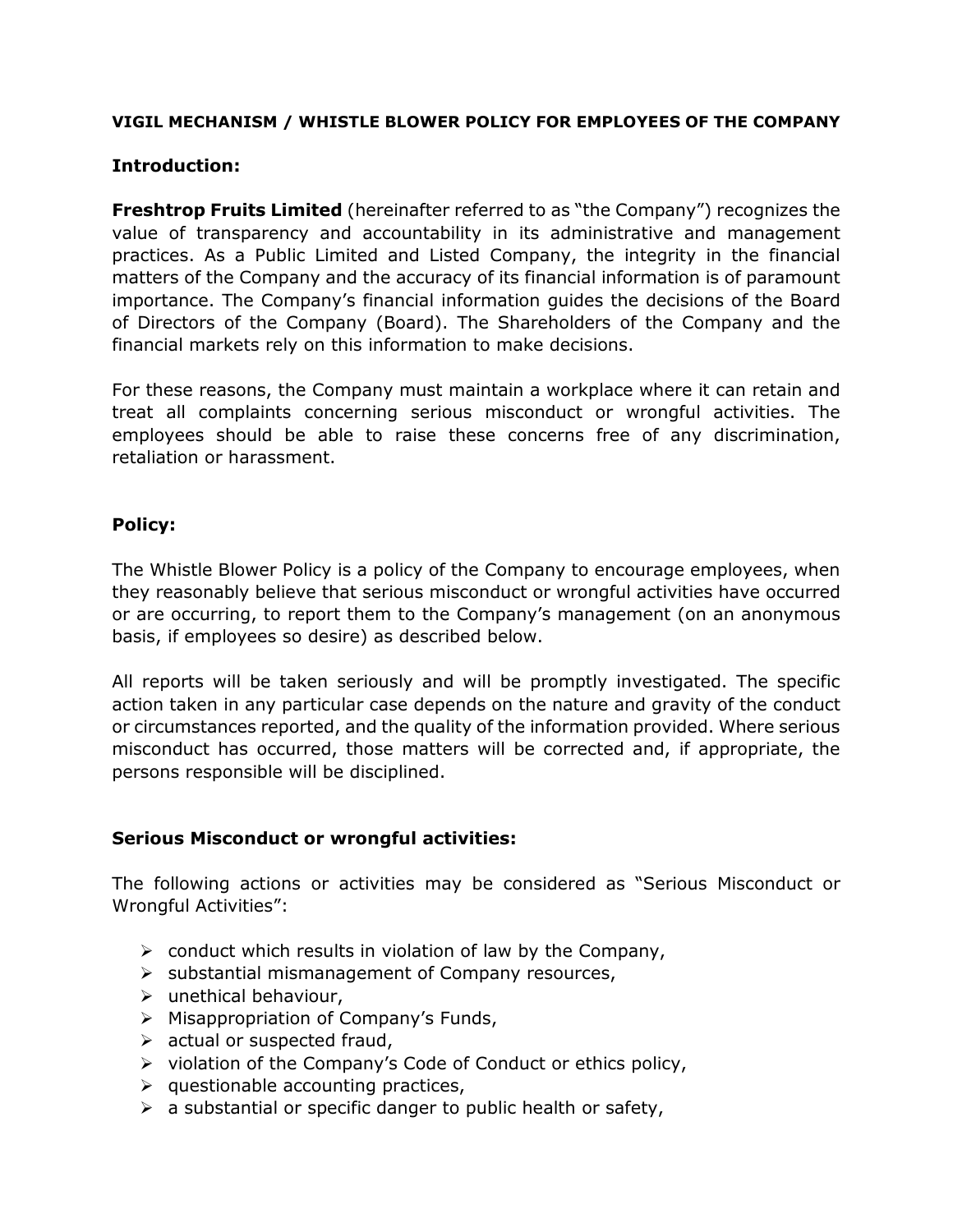#### VIGIL MECHANISM / WHISTLE BLOWER POLICY FOR EMPLOYEES OF THE COMPANY

## Introduction:

**Freshtrop Fruits Limited** (hereinafter referred to as "the Company") recognizes the value of transparency and accountability in its administrative and management practices. As a Public Limited and Listed Company, the integrity in the financial matters of the Company and the accuracy of its financial information is of paramount importance. The Company's financial information guides the decisions of the Board of Directors of the Company (Board). The Shareholders of the Company and the financial markets rely on this information to make decisions.

For these reasons, the Company must maintain a workplace where it can retain and treat all complaints concerning serious misconduct or wrongful activities. The employees should be able to raise these concerns free of any discrimination, retaliation or harassment.

## Policy:

The Whistle Blower Policy is a policy of the Company to encourage employees, when they reasonably believe that serious misconduct or wrongful activities have occurred or are occurring, to report them to the Company's management (on an anonymous basis, if employees so desire) as described below.

All reports will be taken seriously and will be promptly investigated. The specific action taken in any particular case depends on the nature and gravity of the conduct or circumstances reported, and the quality of the information provided. Where serious misconduct has occurred, those matters will be corrected and, if appropriate, the persons responsible will be disciplined.

## Serious Misconduct or wrongful activities:

The following actions or activities may be considered as "Serious Misconduct or Wrongful Activities":

- $\triangleright$  conduct which results in violation of law by the Company,
- $\triangleright$  substantial mismanagement of Company resources,
- unethical behaviour,
- > Misappropriation of Company's Funds,
- $\triangleright$  actual or suspected fraud,
- $\triangleright$  violation of the Company's Code of Conduct or ethics policy,
- $\triangleright$  questionable accounting practices,
- $\triangleright$  a substantial or specific danger to public health or safety,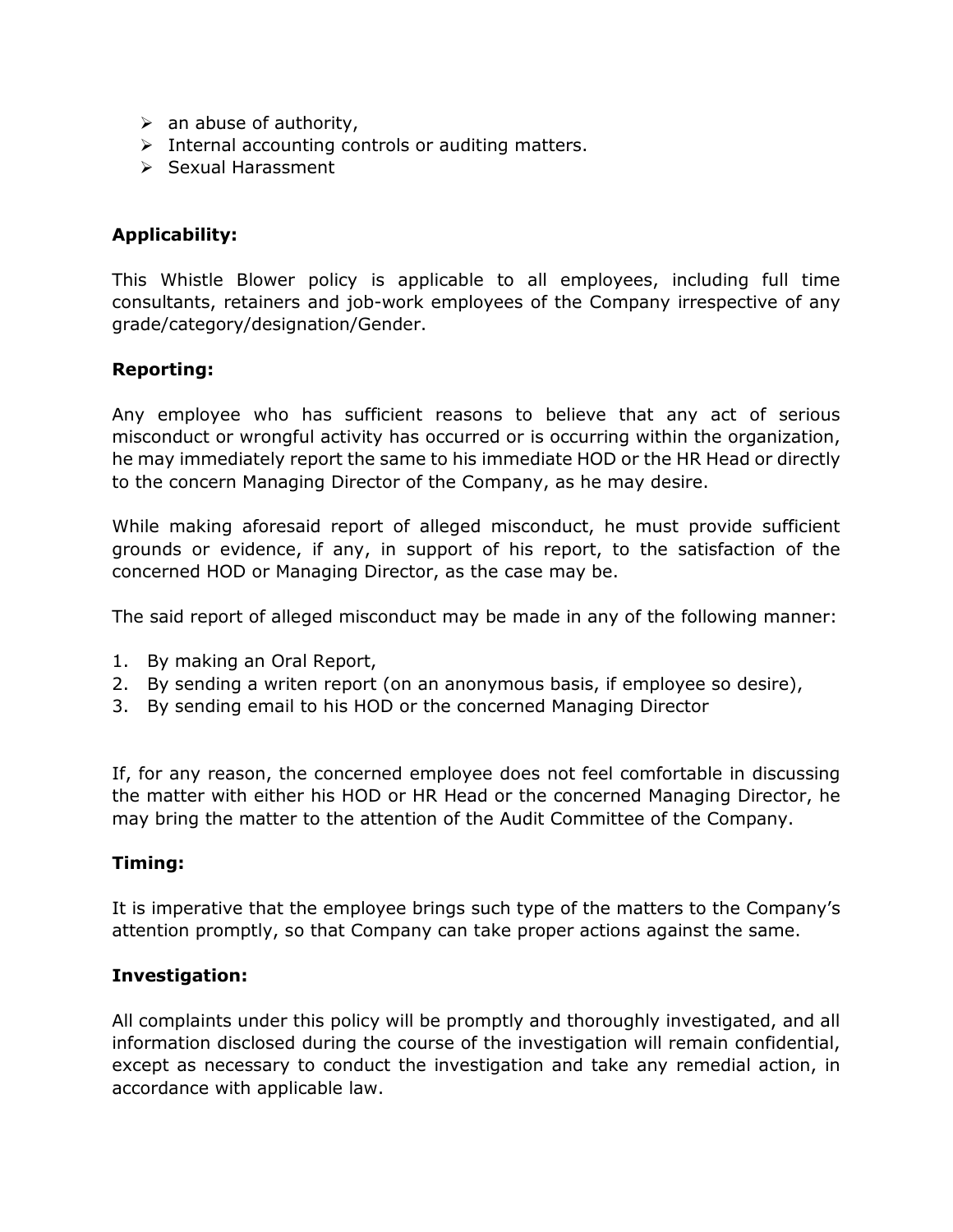- $\triangleright$  an abuse of authority,
- $\triangleright$  Internal accounting controls or auditing matters.
- $\triangleright$  Sexual Harassment

## Applicability:

This Whistle Blower policy is applicable to all employees, including full time consultants, retainers and job-work employees of the Company irrespective of any grade/category/designation/Gender.

## Reporting:

Any employee who has sufficient reasons to believe that any act of serious misconduct or wrongful activity has occurred or is occurring within the organization, he may immediately report the same to his immediate HOD or the HR Head or directly to the concern Managing Director of the Company, as he may desire.

While making aforesaid report of alleged misconduct, he must provide sufficient grounds or evidence, if any, in support of his report, to the satisfaction of the concerned HOD or Managing Director, as the case may be.

The said report of alleged misconduct may be made in any of the following manner:

- 1. By making an Oral Report,
- 2. By sending a writen report (on an anonymous basis, if employee so desire),
- 3. By sending email to his HOD or the concerned Managing Director

If, for any reason, the concerned employee does not feel comfortable in discussing the matter with either his HOD or HR Head or the concerned Managing Director, he may bring the matter to the attention of the Audit Committee of the Company.

## Timing:

It is imperative that the employee brings such type of the matters to the Company's attention promptly, so that Company can take proper actions against the same.

## Investigation:

All complaints under this policy will be promptly and thoroughly investigated, and all information disclosed during the course of the investigation will remain confidential, except as necessary to conduct the investigation and take any remedial action, in accordance with applicable law.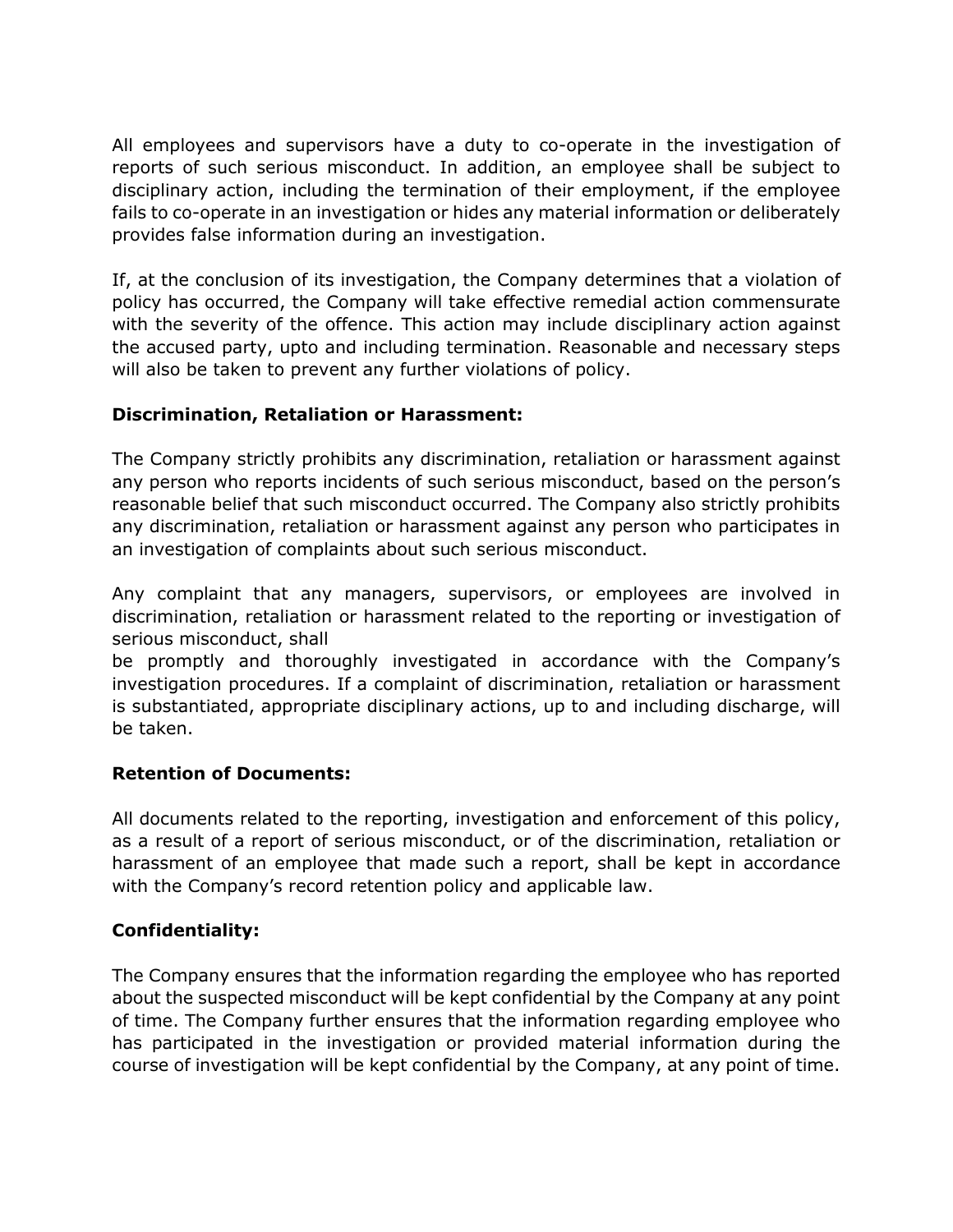All employees and supervisors have a duty to co-operate in the investigation of reports of such serious misconduct. In addition, an employee shall be subject to disciplinary action, including the termination of their employment, if the employee fails to co-operate in an investigation or hides any material information or deliberately provides false information during an investigation.

If, at the conclusion of its investigation, the Company determines that a violation of policy has occurred, the Company will take effective remedial action commensurate with the severity of the offence. This action may include disciplinary action against the accused party, upto and including termination. Reasonable and necessary steps will also be taken to prevent any further violations of policy.

# Discrimination, Retaliation or Harassment:

The Company strictly prohibits any discrimination, retaliation or harassment against any person who reports incidents of such serious misconduct, based on the person's reasonable belief that such misconduct occurred. The Company also strictly prohibits any discrimination, retaliation or harassment against any person who participates in an investigation of complaints about such serious misconduct.

Any complaint that any managers, supervisors, or employees are involved in discrimination, retaliation or harassment related to the reporting or investigation of serious misconduct, shall

be promptly and thoroughly investigated in accordance with the Company's investigation procedures. If a complaint of discrimination, retaliation or harassment is substantiated, appropriate disciplinary actions, up to and including discharge, will be taken.

# Retention of Documents:

All documents related to the reporting, investigation and enforcement of this policy, as a result of a report of serious misconduct, or of the discrimination, retaliation or harassment of an employee that made such a report, shall be kept in accordance with the Company's record retention policy and applicable law.

# Confidentiality:

The Company ensures that the information regarding the employee who has reported about the suspected misconduct will be kept confidential by the Company at any point of time. The Company further ensures that the information regarding employee who has participated in the investigation or provided material information during the course of investigation will be kept confidential by the Company, at any point of time.